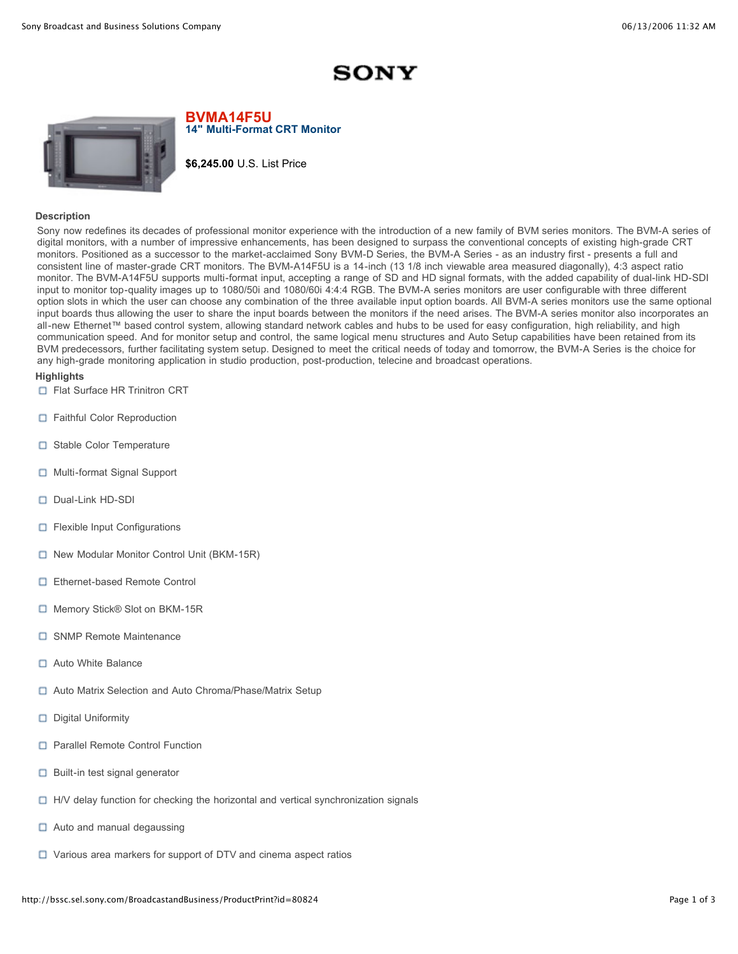## **SONY**



**BVMA14F5U 14" Multi-Format CRT Monitor**

**\$6,245.00** U.S. List Price

## **Description**

Sony now redefines its decades of professional monitor experience with the introduction of a new family of BVM series monitors. The BVM-A series of digital monitors, with a number of impressive enhancements, has been designed to surpass the conventional concepts of existing high-grade CRT monitors. Positioned as a successor to the market-acclaimed Sony BVM-D Series, the BVM-A Series - as an industry first - presents a full and consistent line of master-grade CRT monitors. The BVM-A14F5U is a 14-inch (13 1/8 inch viewable area measured diagonally), 4:3 aspect ratio monitor. The BVM-A14F5U supports multi-format input, accepting a range of SD and HD signal formats, with the added capability of dual-link HD-SDI input to monitor top-quality images up to 1080/50i and 1080/60i 4:4:4 RGB. The BVM-A series monitors are user configurable with three different option slots in which the user can choose any combination of the three available input option boards. All BVM-A series monitors use the same optional input boards thus allowing the user to share the input boards between the monitors if the need arises. The BVM-A series monitor also incorporates an all-new Ethernet™ based control system, allowing standard network cables and hubs to be used for easy configuration, high reliability, and high communication speed. And for monitor setup and control, the same logical menu structures and Auto Setup capabilities have been retained from its BVM predecessors, further facilitating system setup. Designed to meet the critical needs of today and tomorrow, the BVM-A Series is the choice for any high-grade monitoring application in studio production, post-production, telecine and broadcast operations.

## **Highlights**

- □ Flat Surface HR Trinitron CRT
- **D** Faithful Color Reproduction
- □ Stable Color Temperature
- Multi-format Signal Support
- Dual-Link HD-SDI
- **D** Flexible Input Configurations
- □ New Modular Monitor Control Unit (BKM-15R)
- □ Ethernet-based Remote Control
- □ Memory Stick® Slot on BKM-15R
- □ SNMP Remote Maintenance
- Auto White Balance
- □ Auto Matrix Selection and Auto Chroma/Phase/Matrix Setup
- Digital Uniformity
- □ Parallel Remote Control Function
- $\Box$  Built-in test signal generator
- $\Box$  H/V delay function for checking the horizontal and vertical synchronization signals
- $\Box$  Auto and manual degaussing
- □ Various area markers for support of DTV and cinema aspect ratios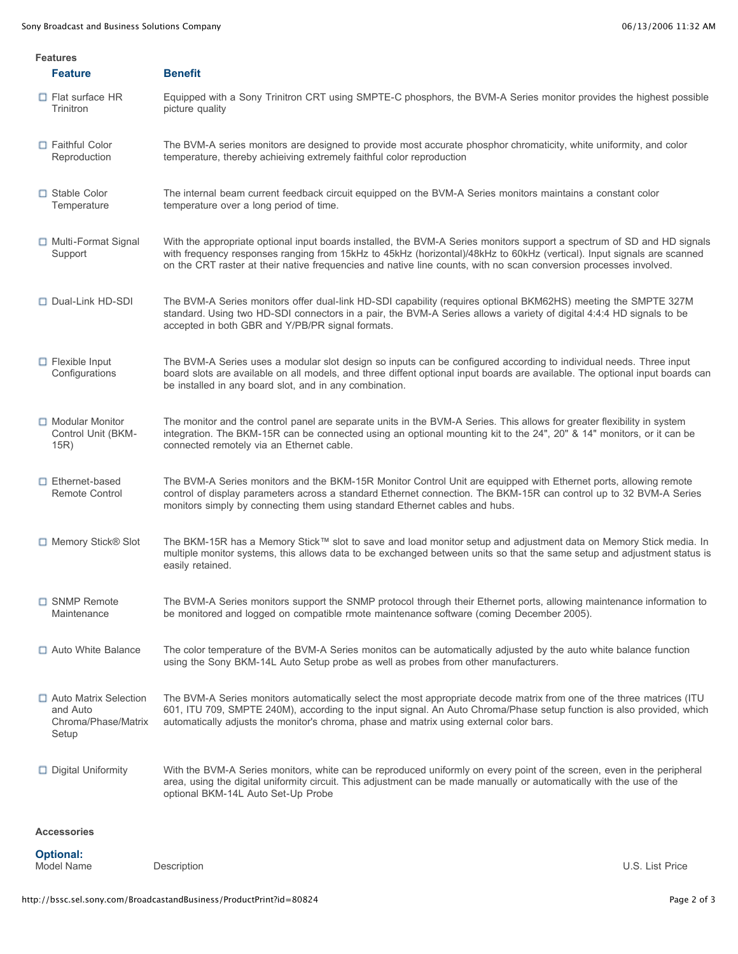| <b>Features</b>                |                                                                   |                                                                                                                                                                                                                                                                                                                                                                        |                 |  |  |
|--------------------------------|-------------------------------------------------------------------|------------------------------------------------------------------------------------------------------------------------------------------------------------------------------------------------------------------------------------------------------------------------------------------------------------------------------------------------------------------------|-----------------|--|--|
|                                | <b>Feature</b>                                                    | <b>Benefit</b>                                                                                                                                                                                                                                                                                                                                                         |                 |  |  |
|                                | $\Box$ Flat surface HR<br>Trinitron                               | Equipped with a Sony Trinitron CRT using SMPTE-C phosphors, the BVM-A Series monitor provides the highest possible<br>picture quality                                                                                                                                                                                                                                  |                 |  |  |
|                                | Faithful Color<br>Reproduction                                    | The BVM-A series monitors are designed to provide most accurate phosphor chromaticity, white uniformity, and color<br>temperature, thereby achieiving extremely faithful color reproduction                                                                                                                                                                            |                 |  |  |
|                                | □ Stable Color<br>Temperature                                     | The internal beam current feedback circuit equipped on the BVM-A Series monitors maintains a constant color<br>temperature over a long period of time.                                                                                                                                                                                                                 |                 |  |  |
|                                | Multi-Format Signal<br>Support                                    | With the appropriate optional input boards installed, the BVM-A Series monitors support a spectrum of SD and HD signals<br>with frequency responses ranging from 15kHz to 45kHz (horizontal)/48kHz to 60kHz (vertical). Input signals are scanned<br>on the CRT raster at their native frequencies and native line counts, with no scan conversion processes involved. |                 |  |  |
|                                | Dual-Link HD-SDI                                                  | The BVM-A Series monitors offer dual-link HD-SDI capability (requires optional BKM62HS) meeting the SMPTE 327M<br>standard. Using two HD-SDI connectors in a pair, the BVM-A Series allows a variety of digital 4:4:4 HD signals to be<br>accepted in both GBR and Y/PB/PR signal formats.                                                                             |                 |  |  |
|                                | $\Box$ Flexible Input<br>Configurations                           | The BVM-A Series uses a modular slot design so inputs can be configured according to individual needs. Three input<br>board slots are available on all models, and three diffent optional input boards are available. The optional input boards can<br>be installed in any board slot, and in any combination.                                                         |                 |  |  |
|                                | Modular Monitor<br>Control Unit (BKM-<br>15R)                     | The monitor and the control panel are separate units in the BVM-A Series. This allows for greater flexibility in system<br>integration. The BKM-15R can be connected using an optional mounting kit to the 24", 20" & 14" monitors, or it can be<br>connected remotely via an Ethernet cable.                                                                          |                 |  |  |
|                                | $\Box$ Ethernet-based<br>Remote Control                           | The BVM-A Series monitors and the BKM-15R Monitor Control Unit are equipped with Ethernet ports, allowing remote<br>control of display parameters across a standard Ethernet connection. The BKM-15R can control up to 32 BVM-A Series<br>monitors simply by connecting them using standard Ethernet cables and hubs.                                                  |                 |  |  |
|                                | □ Memory Stick® Slot                                              | The BKM-15R has a Memory Stick™ slot to save and load monitor setup and adjustment data on Memory Stick media. In<br>multiple monitor systems, this allows data to be exchanged between units so that the same setup and adjustment status is<br>easily retained.                                                                                                      |                 |  |  |
|                                | □ SNMP Remote<br>Maintenance                                      | The BVM-A Series monitors support the SNMP protocol through their Ethernet ports, allowing maintenance information to<br>be monitored and logged on compatible rmote maintenance software (coming December 2005).                                                                                                                                                      |                 |  |  |
|                                | Auto White Balance                                                | The color temperature of the BVM-A Series monitos can be automatically adjusted by the auto white balance function<br>using the Sony BKM-14L Auto Setup probe as well as probes from other manufacturers.                                                                                                                                                              |                 |  |  |
|                                | Auto Matrix Selection<br>and Auto<br>Chroma/Phase/Matrix<br>Setup | The BVM-A Series monitors automatically select the most appropriate decode matrix from one of the three matrices (ITU<br>601, ITU 709, SMPTE 240M), according to the input signal. An Auto Chroma/Phase setup function is also provided, which<br>automatically adjusts the monitor's chroma, phase and matrix using external color bars.                              |                 |  |  |
|                                | Digital Uniformity                                                | With the BVM-A Series monitors, white can be reproduced uniformly on every point of the screen, even in the peripheral<br>area, using the digital uniformity circuit. This adjustment can be made manually or automatically with the use of the<br>optional BKM-14L Auto Set-Up Probe                                                                                  |                 |  |  |
|                                | <b>Accessories</b>                                                |                                                                                                                                                                                                                                                                                                                                                                        |                 |  |  |
| <b>Optional:</b><br>Model Name |                                                                   |                                                                                                                                                                                                                                                                                                                                                                        |                 |  |  |
|                                |                                                                   | Description                                                                                                                                                                                                                                                                                                                                                            | U.S. List Price |  |  |